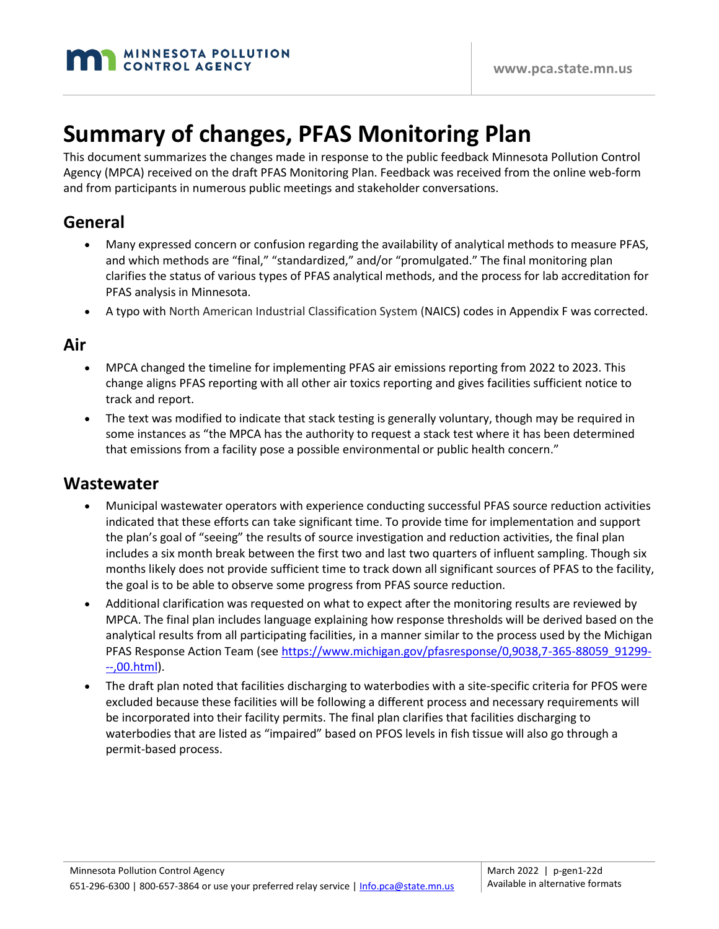

# **Summary of changes, PFAS Monitoring Plan**

This document summarizes the changes made in response to the public feedback Minnesota Pollution Control Agency (MPCA) received on the draft PFAS Monitoring Plan. Feedback was received from the online web-form and from participants in numerous public meetings and stakeholder conversations.

### **General**

- Many expressed concern or confusion regarding the availability of analytical methods to measure PFAS, and which methods are "final," "standardized," and/or "promulgated." The final monitoring plan clarifies the status of various types of PFAS analytical methods, and the process for lab accreditation for PFAS analysis in Minnesota.
- A typo with North American Industrial Classification System (NAICS) codes in Appendix F was corrected.

#### **Air**

- MPCA changed the timeline for implementing PFAS air emissions reporting from 2022 to 2023. This change aligns PFAS reporting with all other air toxics reporting and gives facilities sufficient notice to track and report.
- The text was modified to indicate that stack testing is generally voluntary, though may be required in some instances as "the MPCA has the authority to request a stack test where it has been determined that emissions from a facility pose a possible environmental or public health concern."

#### **Wastewater**

- Municipal wastewater operators with experience conducting successful PFAS source reduction activities indicated that these efforts can take significant time. To provide time for implementation and support the plan's goal of "seeing" the results of source investigation and reduction activities, the final plan includes a six month break between the first two and last two quarters of influent sampling. Though six months likely does not provide sufficient time to track down all significant sources of PFAS to the facility, the goal is to be able to observe some progress from PFAS source reduction.
- Additional clarification was requested on what to expect after the monitoring results are reviewed by MPCA. The final plan includes language explaining how response thresholds will be derived based on the analytical results from all participating facilities, in a manner similar to the process used by the Michigan PFAS Response Action Team (see [https://www.michigan.gov/pfasresponse/0,9038,7-365-88059\\_91299-](https://www.michigan.gov/pfasresponse/0,9038,7-365-88059_91299---,00.html) [--,00.html\)](https://www.michigan.gov/pfasresponse/0,9038,7-365-88059_91299---,00.html).
- The draft plan noted that facilities discharging to waterbodies with a site-specific criteria for PFOS were excluded because these facilities will be following a different process and necessary requirements will be incorporated into their facility permits. The final plan clarifies that facilities discharging to waterbodies that are listed as "impaired" based on PFOS levels in fish tissue will also go through a permit-based process.